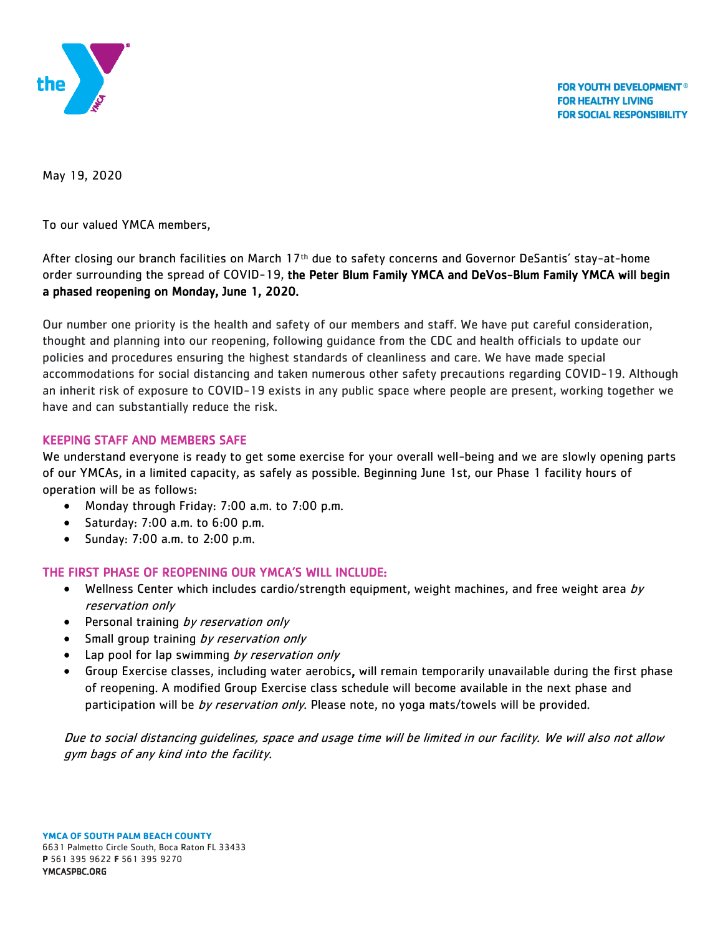

**FOR YOUTH DEVELOPMENT® FOR HEALTHY LIVING FOR SOCIAL RESPONSIBILITY** 

May 19, 2020

To our valued YMCA members,

After closing our branch facilities on March 17th due to safety concerns and Governor DeSantis' stay-at-home order surrounding the spread of COVID-19, the Peter Blum Family YMCA and DeVos-Blum Family YMCA will begin a phased reopening on Monday, June 1, 2020.

Our number one priority is the health and safety of our members and staff. We have put careful consideration, thought and planning into our reopening, following guidance from the CDC and health officials to update our policies and procedures ensuring the highest standards of cleanliness and care. We have made special accommodations for social distancing and taken numerous other safety precautions regarding COVID-19. Although an inherit risk of exposure to COVID-19 exists in any public space where people are present, working together we have and can substantially reduce the risk.

## KEEPING STAFF AND MEMBERS SAFE

We understand everyone is ready to get some exercise for your overall well-being and we are slowly opening parts of our YMCAs, in a limited capacity, as safely as possible. Beginning June 1st, our Phase 1 facility hours of operation will be as follows:

- Monday through Friday: 7:00 a.m. to 7:00 p.m.
- Saturday:  $7:00$  a.m. to  $6:00$  p.m.
- $\bullet$  Sunday: 7:00 a.m. to 2:00 p.m.

## THE FIRST PHASE OF REOPENING OUR YMCA'S WILL INCLUDE:

- $\bullet$  Wellness Center which includes cardio/strength equipment, weight machines, and free weight area by reservation only
- Personal training by reservation only
- Small group training by reservation only
- Lap pool for lap swimming by reservation only
- Group Exercise classes, including water aerobics, will remain temporarily unavailable during the first phase of reopening. A modified Group Exercise class schedule will become available in the next phase and participation will be by reservation only. Please note, no yoga mats/towels will be provided.

Due to social distancing guidelines, space and usage time will be limited in our facility. We will also not allow gym bags of any kind into the facility.